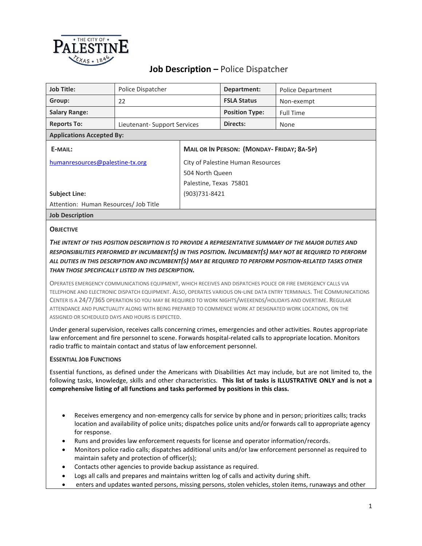

# **Job Description –** Police Dispatcher

| <b>Job Title:</b>                     | Police Dispatcher            |                                                  | Department:           | <b>Police Department</b> |  |
|---------------------------------------|------------------------------|--------------------------------------------------|-----------------------|--------------------------|--|
| Group:                                | 22                           |                                                  | <b>FSLA Status</b>    | Non-exempt               |  |
| <b>Salary Range:</b>                  |                              |                                                  | <b>Position Type:</b> | <b>Full Time</b>         |  |
| <b>Reports To:</b>                    | Lieutenant- Support Services |                                                  | Directs:              | None                     |  |
| <b>Applications Accepted By:</b>      |                              |                                                  |                       |                          |  |
| E-MAIL:                               |                              | <b>MAIL OR IN PERSON: (MONDAY-FRIDAY; 8A-5P)</b> |                       |                          |  |
| humanresources@palestine-tx.org       |                              | City of Palestine Human Resources                |                       |                          |  |
|                                       |                              | 504 North Queen                                  |                       |                          |  |
|                                       |                              | Palestine, Texas 75801                           |                       |                          |  |
| <b>Subject Line:</b>                  |                              | (903)731-8421                                    |                       |                          |  |
| Attention: Human Resources/ Job Title |                              |                                                  |                       |                          |  |
| <b>Job Description</b>                |                              |                                                  |                       |                          |  |

#### **OBJECTIVE**

### *THE INTENT OF THIS POSITION DESCRIPTION IS TO PROVIDE A REPRESENTATIVE SUMMARY OF THE MAJOR DUTIES AND RESPONSIBILITIES PERFORMED BY INCUMBENT(S) IN THIS POSITION. INCUMBENT(S) MAY NOT BE REQUIRED TO PERFORM ALL DUTIES IN THIS DESCRIPTION AND INCUMBENT(S) MAY BE REQUIRED TO PERFORM POSITION-RELATED TASKS OTHER THAN THOSE SPECIFICALLY LISTED IN THIS DESCRIPTION.*

OPERATES EMERGENCY COMMUNICATIONS EQUIPMENT, WHICH RECEIVES AND DISPATCHES POLICE OR FIRE EMERGENCY CALLS VIA TELEPHONE AND ELECTRONIC DISPATCH EQUIPMENT. ALSO, OPERATES VARIOUS ON-LINE DATA ENTRY TERMINALS. THE COMMUNICATIONS CENTER IS A 24/7/365 OPERATION SO YOU MAY BE REQUIRED TO WORK NIGHTS/WEEKENDS/HOLIDAYS AND OVERTIME. REGULAR ATTENDANCE AND PUNCTUALITY ALONG WITH BEING PREPARED TO COMMENCE WORK AT DESIGNATED WORK LOCATIONS, ON THE ASSIGNED OR SCHEDULED DAYS AND HOURS IS EXPECTED.

Under general supervision, receives calls concerning crimes, emergencies and other activities. Routes appropriate law enforcement and fire personnel to scene. Forwards hospital-related calls to appropriate location. Monitors radio traffic to maintain contact and status of law enforcement personnel.

#### **ESSENTIAL JOB FUNCTIONS**

Essential functions, as defined under the Americans with Disabilities Act may include, but are not limited to, the following tasks, knowledge, skills and other characteristics. **This list of tasks is ILLUSTRATIVE ONLY and is not a comprehensive listing of all functions and tasks performed by positions in this class.**

- Receives emergency and non-emergency calls for service by phone and in person; prioritizes calls; tracks location and availability of police units; dispatches police units and/or forwards call to appropriate agency for response.
- Runs and provides law enforcement requests for license and operator information/records.
- Monitors police radio calls; dispatches additional units and/or law enforcement personnel as required to maintain safety and protection of officer(s);
- Contacts other agencies to provide backup assistance as required.
- Logs all calls and prepares and maintains written log of calls and activity during shift.
- enters and updates wanted persons, missing persons, stolen vehicles, stolen items, runaways and other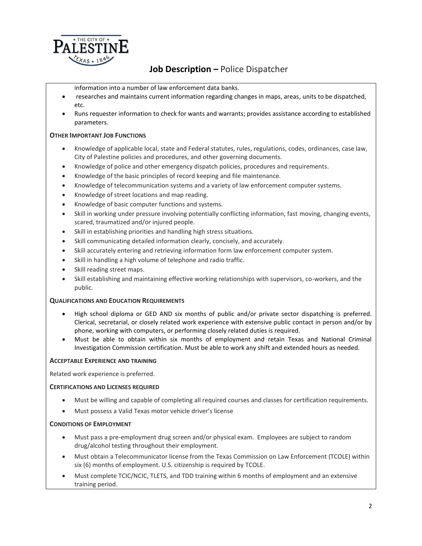

# **Job Description –** Police Dispatcher

information into a number of law enforcement data banks.

- researches and maintains current information regarding changes in maps, areas, units to be dispatched, etc.
- Runs requester information to check for wants and warrants; provides assistance according to established parameters.

#### **OTHER IMPORTANT JOB FUNCTIONS**

- Knowledge of applicable local, state and Federal statutes, rules, regulations, codes, ordinances, case law, City of Palestine policies and procedures, and other governing documents.
- Knowledge of police and other emergency dispatch policies, procedures and requirements.
- Knowledge of the basic principles of record keeping and file maintenance.
- Knowledge of telecommunication systems and a variety of law enforcement computer systems.
- Knowledge of street locations and map reading.
- Knowledge of basic computer functions and systems.
- Skill in working under pressure involving potentially conflicting information, fast moving, changing events, scared, traumatized and/or injured people.
- Skill in establishing priorities and handling high stress situations.
- Skill communicating detailed information clearly, concisely, and accurately.
- Skill accurately entering and retrieving information form law enforcement computer system.
- Skill in handling a high volume of telephone and radio traffic.
- Skill reading street maps.
- Skill establishing and maintaining effective working relationships with supervisors, co-workers, and the public.

#### **QUALIFICATIONS AND EDUCATION REQUIREMENTS**

- High school diploma or GED AND six months of public and/or private sector dispatching is preferred. Clerical, secretarial, or closely related work experience with extensive public contact in person and/or by phone, working with computers, or performing closely related duties is required.
- Must be able to obtain within six months of employment and retain Texas and National Criminal Investigation Commission certification. Must be able to work any shift and extended hours as needed.

#### **ACCEPTABLE EXPERIENCE AND TRAINING**

Related work experience is preferred.

#### **CERTIFICATIONS AND LICENSES REQUIRED**

- Must be willing and capable of completing all required courses and classes for certification requirements.
- Must possess a Valid Texas motor vehicle driver's license

#### **CONDITIONS OF EMPLOYMENT**

- Must pass a pre-employment drug screen and/or physical exam. Employees are subject to random drug/alcohol testing throughout their employment.
- Must obtain a Telecommunicator license from the Texas Commission on Law Enforcement (TCOLE) within six (6) months of employment. U.S. citizenship is required by TCOLE.
- Must complete TCIC/NCIC, TLETS, and TDD training within 6 months of employment and an extensive training period.